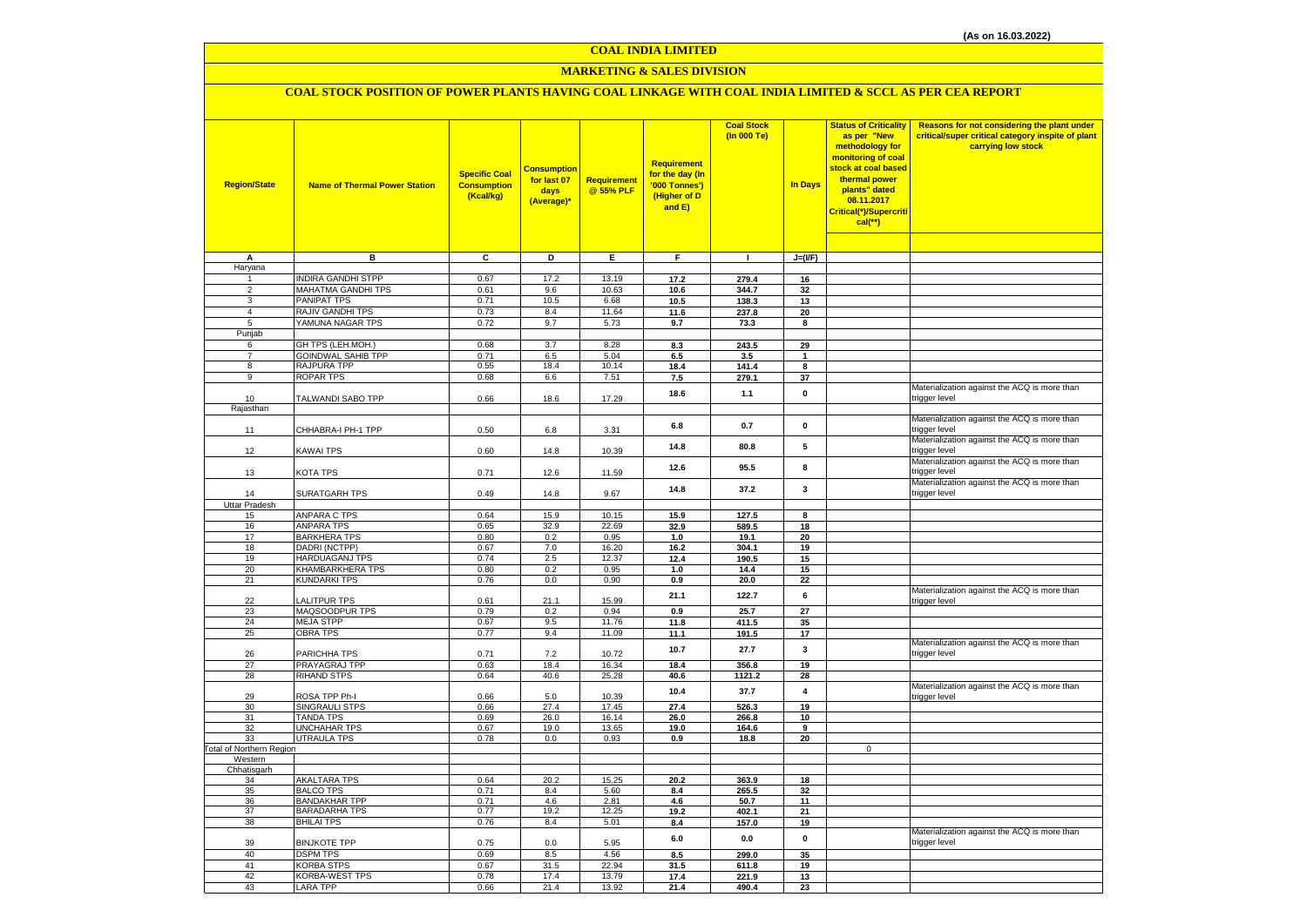#### **COAL INDIA LIMITED**

# **MARKETING & SALES DIVISION**

# **COAL STOCK POSITION OF POWER PLANTS HAVING COAL LINKAGE WITH COAL INDIA LIMITED & SCCL AS PER CEA REPORT**

| <b>Region/State</b>             | <b>Name of Thermal Power Station</b>      | <b>Specific Coal</b><br><b>Consumption</b><br>(Kcal/kg) | <b>Consumptior</b><br>for last 07<br>days<br>(Average)* | Requirement<br>@ 55% PLF | <b>Requirement</b><br>for the day (In<br>'000 Tonnes')<br>(Higher of D<br>and E) | <b>Coal Stock</b><br>(In 000 Te) | <b>In Days</b>          | <b>Status of Criticality</b><br>as per "New<br>methodology for<br>monitoring of coal<br>stock at coal based<br>thermal power<br>plants" dated<br>08.11.2017<br>Critical(*)/Supercriti<br>$cal$ (**) | Reasons for not considering the plant under<br>critical/super critical category inspite of plant<br>carrying low stock |
|---------------------------------|-------------------------------------------|---------------------------------------------------------|---------------------------------------------------------|--------------------------|----------------------------------------------------------------------------------|----------------------------------|-------------------------|-----------------------------------------------------------------------------------------------------------------------------------------------------------------------------------------------------|------------------------------------------------------------------------------------------------------------------------|
|                                 |                                           |                                                         |                                                         |                          |                                                                                  |                                  |                         |                                                                                                                                                                                                     |                                                                                                                        |
| A                               | в                                         | c                                                       | D                                                       | Ε                        | F                                                                                | $\blacksquare$                   | $J=(I/F)$               |                                                                                                                                                                                                     |                                                                                                                        |
| Haryana                         |                                           |                                                         |                                                         |                          |                                                                                  |                                  |                         |                                                                                                                                                                                                     |                                                                                                                        |
|                                 | <b>INDIRA GANDHI STPP</b>                 | 0.67                                                    | 17.2                                                    | 13.19                    | 17.2                                                                             | 279.4                            | 16                      |                                                                                                                                                                                                     |                                                                                                                        |
| $\overline{2}$                  | MAHATMA GANDHI TPS                        | 0.61                                                    | 9.6                                                     | 10.63                    | 10.6                                                                             | 344.7                            | 32                      |                                                                                                                                                                                                     |                                                                                                                        |
| 3                               | PANIPAT TPS                               | 0.71                                                    | 10.5                                                    | 6.68                     | 10.5                                                                             | 138.3                            | 13                      |                                                                                                                                                                                                     |                                                                                                                        |
| $\overline{4}$<br>5             | RAJIV GANDHI TPS<br>YAMUNA NAGAR TPS      | 0.73<br>0.72                                            | 8.4<br>9.7                                              | 11.64<br>5.73            | 11.6                                                                             | 237.8                            | 20                      |                                                                                                                                                                                                     |                                                                                                                        |
| Punjab                          |                                           |                                                         |                                                         |                          | 9.7                                                                              | 73.3                             | 8                       |                                                                                                                                                                                                     |                                                                                                                        |
| 6                               | GH TPS (LEH.MOH.)                         | 0.68                                                    | 3.7                                                     | 8.28                     | 8.3                                                                              | 243.5                            | 29                      |                                                                                                                                                                                                     |                                                                                                                        |
| $\overline{7}$                  | <b>GOINDWAL SAHIB TPP</b>                 | 0.71                                                    | 6.5                                                     | 5.04                     | 6.5                                                                              | 3.5                              | $\mathbf{1}$            |                                                                                                                                                                                                     |                                                                                                                        |
| 8                               | RAJPURA TPP                               | 0.55                                                    | 18.4                                                    | 10.14                    | 18.4                                                                             | 141.4                            | 8                       |                                                                                                                                                                                                     |                                                                                                                        |
| 9                               | <b>ROPAR TPS</b>                          | 0.68                                                    | 6.6                                                     | 7.51                     | 7.5                                                                              | 279.1                            | 37                      |                                                                                                                                                                                                     |                                                                                                                        |
|                                 |                                           |                                                         |                                                         |                          |                                                                                  |                                  |                         |                                                                                                                                                                                                     | Materialization against the ACQ is more than                                                                           |
| 10                              | TALWANDI SABO TPP                         | 0.66                                                    | 18.6                                                    | 17.29                    | 18.6                                                                             | 1.1                              | $\mathbf 0$             |                                                                                                                                                                                                     | trigger level                                                                                                          |
| Rajasthan                       |                                           |                                                         |                                                         |                          |                                                                                  |                                  |                         |                                                                                                                                                                                                     |                                                                                                                        |
| 11                              | CHHABRA-I PH-1 TPP                        | 0.50                                                    | 6.8                                                     | 3.31                     | 6.8                                                                              | 0.7                              | $\mathbf{0}$            |                                                                                                                                                                                                     | Materialization against the ACQ is more than<br>trigger level                                                          |
| 12                              | <b>KAWAI TPS</b>                          | 0.60                                                    | 14.8                                                    | 10.39                    | 14.8                                                                             | 80.8                             | 5                       |                                                                                                                                                                                                     | Materialization against the ACQ is more than<br>trigger level                                                          |
|                                 |                                           |                                                         |                                                         |                          | 12.6                                                                             | 95.5                             | 8                       |                                                                                                                                                                                                     | Materialization against the ACQ is more than                                                                           |
| 13                              | KOTA TPS                                  | 0.71                                                    | 12.6                                                    | 11.59                    |                                                                                  |                                  |                         |                                                                                                                                                                                                     | trigger level                                                                                                          |
| 14                              | SURATGARH TPS                             | 0.49                                                    | 14.8                                                    | 9.67                     | 14.8                                                                             | 37.2                             | 3                       |                                                                                                                                                                                                     | Materialization against the ACQ is more than<br>trigger level                                                          |
| Uttar Pradesh                   |                                           |                                                         |                                                         |                          |                                                                                  |                                  |                         |                                                                                                                                                                                                     |                                                                                                                        |
| 15                              | <b>ANPARA C TPS</b>                       | 0.64                                                    | 15.9                                                    | 10.15                    | 15.9                                                                             | 127.5                            | 8                       |                                                                                                                                                                                                     |                                                                                                                        |
| 16                              | <b>ANPARA TPS</b>                         | 0.65                                                    | 32.9                                                    | 22.69                    | 32.9                                                                             | 589.5                            | 18                      |                                                                                                                                                                                                     |                                                                                                                        |
| 17                              | <b>BARKHERA TPS</b>                       | 0.80                                                    | 0.2                                                     | 0.95                     | 1.0                                                                              | 19.1                             | 20                      |                                                                                                                                                                                                     |                                                                                                                        |
| 18                              | DADRI (NCTPP)                             | 0.67                                                    | 7.0                                                     | 16.20                    | 16.2                                                                             | 304.1                            | 19                      |                                                                                                                                                                                                     |                                                                                                                        |
| 19                              | HARDUAGANJ TPS                            | 0.74                                                    | 2.5                                                     | 12.37                    | 12.4                                                                             | 190.5                            | 15                      |                                                                                                                                                                                                     |                                                                                                                        |
| 20<br>21                        | KHAMBARKHERA TPS<br><b>KUNDARKI TPS</b>   | 0.80<br>0.76                                            | 0.2<br>0.0                                              | 0.95<br>0.90             | 1.0<br>0.9                                                                       | 14.4<br>20.0                     | 15<br>22                |                                                                                                                                                                                                     |                                                                                                                        |
|                                 |                                           |                                                         |                                                         |                          | 21.1                                                                             | 122.7                            | 6                       |                                                                                                                                                                                                     | Materialization against the ACQ is more than                                                                           |
| 22<br>23                        | LALITPUR TPS<br>MAQSOODPUR TPS            | 0.61<br>0.79                                            | 21.1                                                    | 15.99<br>0.94            |                                                                                  |                                  |                         |                                                                                                                                                                                                     | trigger level                                                                                                          |
| 24                              | <b>MEJA STPP</b>                          | 0.67                                                    | 0.2<br>9.5                                              | 11.76                    | 0.9<br>11.8                                                                      | 25.7<br>411.5                    | 27<br>35                |                                                                                                                                                                                                     |                                                                                                                        |
| 25                              | <b>OBRA TPS</b>                           | 0.77                                                    | 9.4                                                     | 11.09                    | 11.1                                                                             | 191.5                            | 17                      |                                                                                                                                                                                                     |                                                                                                                        |
|                                 |                                           |                                                         |                                                         |                          |                                                                                  |                                  |                         |                                                                                                                                                                                                     | Materialization against the ACQ is more than                                                                           |
| 26                              | PARICHHA TPS                              | 0.71                                                    | 7.2                                                     | 10.72                    | 10.7                                                                             | 27.7                             | 3                       |                                                                                                                                                                                                     | trigger level                                                                                                          |
| 27                              | PRAYAGRAJ TPP                             | 0.63                                                    | 18.4                                                    | 16.34                    | 18.4                                                                             | 356.8                            | 19                      |                                                                                                                                                                                                     |                                                                                                                        |
| 28                              | <b>RIHAND STPS</b>                        | 0.64                                                    | 40.6                                                    | 25.28                    | 40.6                                                                             | 1121.2                           | 28                      |                                                                                                                                                                                                     |                                                                                                                        |
| 29                              | ROSA TPP Ph-I                             | 0.66                                                    | 5.0                                                     | 10.39                    | 10.4                                                                             | 37.7                             | $\overline{\mathbf{4}}$ |                                                                                                                                                                                                     | Materialization against the ACQ is more than<br>trigger level                                                          |
| 30                              | <b>SINGRAULI STPS</b>                     | 0.66                                                    | 27.4                                                    | 17.45                    | 27.4                                                                             | 526.3                            | 19                      |                                                                                                                                                                                                     |                                                                                                                        |
| 31                              | <b>TANDA TPS</b>                          | 0.69                                                    | 26.0                                                    | 16.14                    | 26.0                                                                             | 266.8                            | 10                      |                                                                                                                                                                                                     |                                                                                                                        |
| 32<br>33                        | <b>UNCHAHAR TPS</b><br><b>UTRAULA TPS</b> | 0.67<br>0.78                                            | 19.0<br>0.0                                             | 13.65<br>0.93            | 19.0<br>0.9                                                                      | 164.6<br>18.8                    | 9<br>20                 |                                                                                                                                                                                                     |                                                                                                                        |
| <b>Total of Northern Region</b> |                                           |                                                         |                                                         |                          |                                                                                  |                                  |                         | 0                                                                                                                                                                                                   |                                                                                                                        |
| Western                         |                                           |                                                         |                                                         |                          |                                                                                  |                                  |                         |                                                                                                                                                                                                     |                                                                                                                        |
| Chhatisgarh                     |                                           |                                                         |                                                         |                          |                                                                                  |                                  |                         |                                                                                                                                                                                                     |                                                                                                                        |
| 34                              | AKALTARA TPS                              | 0.64                                                    | 20.2                                                    | 15.25                    | 20.2                                                                             | 363.9                            | 18                      |                                                                                                                                                                                                     |                                                                                                                        |
| 35                              | <b>BALCO TPS</b>                          | 0.71                                                    | 8.4                                                     | 5.60                     | 8.4                                                                              | 265.5                            | 32                      |                                                                                                                                                                                                     |                                                                                                                        |
| 36                              | <b>BANDAKHAR TPP</b>                      | 0.71                                                    | 4.6                                                     | 2.81                     | 4.6                                                                              | 50.7                             | 11                      |                                                                                                                                                                                                     |                                                                                                                        |
| 37                              | <b>BARADARHA TPS</b>                      | 0.77                                                    | 19.2                                                    | 12.25                    | 19.2                                                                             | 402.1                            | 21                      |                                                                                                                                                                                                     |                                                                                                                        |
| 38                              | <b>BHILAI TPS</b>                         | 0.76                                                    | 8.4                                                     | 5.01                     | 8.4                                                                              | 157.0                            | 19                      |                                                                                                                                                                                                     | Materialization against the ACQ is more than                                                                           |
| 39                              | <b>BINJKOTE TPP</b>                       | 0.75                                                    | 0.0                                                     | 5.95                     | 6.0                                                                              | 0.0                              | $\mathbf 0$             |                                                                                                                                                                                                     | trigger level                                                                                                          |
| 40                              | <b>DSPM TPS</b>                           | 0.69                                                    | 8.5                                                     | 4.56                     | 8.5                                                                              | 299.0                            | 35                      |                                                                                                                                                                                                     |                                                                                                                        |
| 41                              | <b>KORBA STPS</b>                         | 0.67                                                    | 31.5                                                    | 22.94                    | 31.5                                                                             | 611.8                            | 19                      |                                                                                                                                                                                                     |                                                                                                                        |
| 42                              | <b>KORBA-WEST TPS</b>                     | 0.78                                                    | 17.4                                                    | 13.79                    | 17.4                                                                             | 221.9                            | 13                      |                                                                                                                                                                                                     |                                                                                                                        |
| 43                              | LARA TPP                                  | 0.66                                                    | 21.4                                                    | 13.92                    | 21.4                                                                             | 490.4                            | 23                      |                                                                                                                                                                                                     |                                                                                                                        |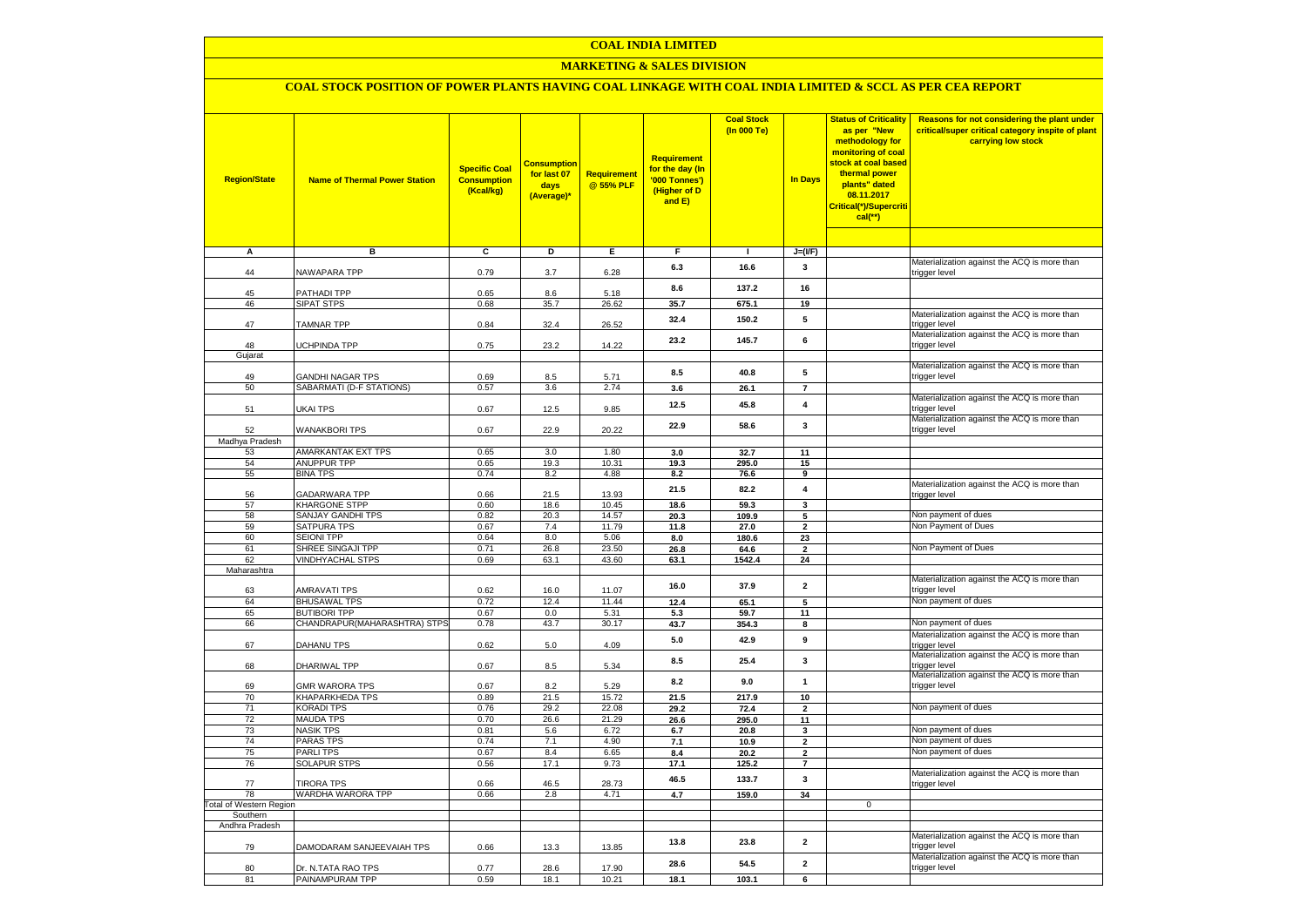# **COAL INDIA LIMITED**

# **MARKETING & SALES DIVISION**

# **COAL STOCK POSITION OF POWER PLANTS HAVING COAL LINKAGE WITH COAL INDIA LIMITED & SCCL AS PER CEA REPORT**

| <b>Region/State</b>                        | <b>Name of Thermal Power Station</b>         | <b>Specific Coal</b><br><b>Consumption</b><br>(Kcal/kg) | <u>Consumption</u><br>for last 07<br>days<br>(Average)* | Requirement<br>@ 55% PLF | Requirement<br>for the day (In<br>'000 Tonnes')<br>(Higher of D<br>and E) | <b>Coal Stock</b><br>(In 000 Te) | <b>In Days</b>                | <b>Status of Criticality</b><br>as per "New<br>methodology for<br>monitoring of coal<br>stock at coal based<br>thermal power<br>plants" dated<br>08.11.2017<br>Critical(*)/Supercriti<br>$cal$ (**) | Reasons for not considering the plant under<br>critical/super critical category inspite of plant<br>carrying low stock |
|--------------------------------------------|----------------------------------------------|---------------------------------------------------------|---------------------------------------------------------|--------------------------|---------------------------------------------------------------------------|----------------------------------|-------------------------------|-----------------------------------------------------------------------------------------------------------------------------------------------------------------------------------------------------|------------------------------------------------------------------------------------------------------------------------|
| Α                                          | в                                            | c                                                       | Þ                                                       | Е                        | $\overline{F}$                                                            | $\mathbf{I}$                     | $J=(I/F)$                     |                                                                                                                                                                                                     |                                                                                                                        |
| 44                                         | NAWAPARA TPP                                 | 0.79                                                    | 3.7                                                     | 6.28                     | 6.3                                                                       | 16.6                             | 3                             |                                                                                                                                                                                                     | Materialization against the ACQ is more than<br>trigger level                                                          |
| 45                                         | PATHADI TPP                                  | 0.65                                                    | 8.6                                                     | 5.18                     | 8.6                                                                       | 137.2                            | 16                            |                                                                                                                                                                                                     |                                                                                                                        |
| 46                                         | <b>SIPAT STPS</b>                            | 0.68                                                    | 35.7                                                    | 26.62                    | 35.7                                                                      | 675.1                            | 19                            |                                                                                                                                                                                                     |                                                                                                                        |
| 47                                         | <b>TAMNAR TPP</b>                            | 0.84                                                    | 32.4                                                    | 26.52                    | 32.4                                                                      | 150.2                            | 5                             |                                                                                                                                                                                                     | Materialization against the ACQ is more than<br>trigger level<br>Materialization against the ACQ is more than          |
| 48<br>Gujarat                              | UCHPINDA TPP                                 | 0.75                                                    | 23.2                                                    | 14.22                    | 23.2                                                                      | 145.7                            | 6                             |                                                                                                                                                                                                     | trigger level                                                                                                          |
|                                            |                                              |                                                         |                                                         |                          |                                                                           |                                  |                               |                                                                                                                                                                                                     | Materialization against the ACQ is more than                                                                           |
| 49<br>50                                   | GANDHI NAGAR TPS<br>SABARMATI (D-F STATIONS) | 0.69<br>0.57                                            | 8.5<br>3.6                                              | 5.71<br>2.74             | 8.5<br>3.6                                                                | 40.8<br>26.1                     | 5<br>$\overline{7}$           |                                                                                                                                                                                                     | trigger level                                                                                                          |
|                                            |                                              |                                                         |                                                         |                          |                                                                           |                                  |                               |                                                                                                                                                                                                     | Materialization against the ACQ is more than                                                                           |
| 51                                         | UKAI TPS                                     | 0.67                                                    | 12.5                                                    | 9.85                     | 12.5                                                                      | 45.8                             | $\overline{\mathbf{4}}$       |                                                                                                                                                                                                     | trigger level<br>Materialization against the ACQ is more than                                                          |
| 52                                         | <b>WANAKBORI TPS</b>                         | 0.67                                                    | 22.9                                                    | 20.22                    | 22.9                                                                      | 58.6                             | 3                             |                                                                                                                                                                                                     | trigger level                                                                                                          |
| Madhya Pradesh<br>53                       | AMARKANTAK EXT TPS                           | 0.65                                                    | 3.0                                                     | 1.80                     | 3.0                                                                       | 32.7                             |                               |                                                                                                                                                                                                     |                                                                                                                        |
| 54                                         | <b>ANUPPUR TPP</b>                           | 0.65                                                    | 19.3                                                    | 10.31                    | 19.3                                                                      | 295.0                            | 11<br>15                      |                                                                                                                                                                                                     |                                                                                                                        |
| 55                                         | <b>BINA TPS</b>                              | 0.74                                                    | 8.2                                                     | 4.88                     | 8.2                                                                       | 76.6                             | 9                             |                                                                                                                                                                                                     |                                                                                                                        |
| 56                                         | <b>GADARWARA TPP</b>                         | 0.66                                                    | 21.5                                                    | 13.93                    | 21.5                                                                      | 82.2                             | $\overline{4}$                |                                                                                                                                                                                                     | Materialization against the ACQ is more than<br>trigger level                                                          |
| 57                                         | <b>KHARGONE STPP</b>                         | 0.60                                                    | 18.6                                                    | 10.45                    | 18.6                                                                      | 59.3                             | $\mathbf{3}$                  |                                                                                                                                                                                                     |                                                                                                                        |
| 58                                         | <b>SANJAY GANDHI TPS</b>                     | 0.82                                                    | 20.3                                                    | 14.57                    | 20.3                                                                      | 109.9                            | 5                             |                                                                                                                                                                                                     | Non payment of dues<br>Non Payment of Dues                                                                             |
| 59<br>60                                   | SATPURA TPS<br>SEIONI TPP                    | 0.67<br>0.64                                            | 7.4<br>8.0                                              | 11.79<br>5.06            | 11.8                                                                      | 27.0<br>180.6                    | $\overline{\mathbf{2}}$<br>23 |                                                                                                                                                                                                     |                                                                                                                        |
| 61                                         | SHREE SINGAJI TPP                            | 0.71                                                    | 26.8                                                    | 23.50                    | 8.0<br>26.8                                                               | 64.6                             | $\mathbf{2}$                  |                                                                                                                                                                                                     | Non Payment of Dues                                                                                                    |
| 62                                         | <b>VINDHYACHAL STPS</b>                      | 0.69                                                    | 63.1                                                    | 43.60                    | 63.1                                                                      | 1542.4                           | 24                            |                                                                                                                                                                                                     |                                                                                                                        |
| Maharashtra                                |                                              |                                                         |                                                         |                          |                                                                           |                                  |                               |                                                                                                                                                                                                     |                                                                                                                        |
| 63                                         | <b>AMRAVATI TPS</b>                          | 0.62                                                    | 16.0                                                    | 11.07                    | 16.0                                                                      | 37.9                             | $\mathbf{2}$                  |                                                                                                                                                                                                     | Materialization against the ACQ is more than<br>trigger level                                                          |
| 64                                         | <b>BHUSAWAL TPS</b>                          | 0.72                                                    | 12.4                                                    | 11.44                    | 12.4                                                                      | 65.1                             | 5                             |                                                                                                                                                                                                     | Non payment of dues                                                                                                    |
| 65                                         | <b>BUTIBORI TPP</b>                          | 0.67                                                    | 0.0                                                     | 5.31                     | 5.3                                                                       | 59.7                             | 11                            |                                                                                                                                                                                                     |                                                                                                                        |
| 66                                         | CHANDRAPUR(MAHARASHTRA) STPS                 | 0.78                                                    | 43.7                                                    | 30.17                    | 43.7                                                                      | 354.3                            | 8                             |                                                                                                                                                                                                     | Non payment of dues                                                                                                    |
| 67                                         | DAHANU TPS                                   | 0.62                                                    | $5.0$                                                   | 4.09                     | $5.0\,$                                                                   | 42.9                             | 9                             |                                                                                                                                                                                                     | Materialization against the ACQ is more than<br>trigger level                                                          |
| 68                                         | DHARIWAL TPP                                 | 0.67                                                    | 8.5                                                     | 5.34                     | 8.5                                                                       | 25.4                             | 3                             |                                                                                                                                                                                                     | Materialization against the ACQ is more than<br>rigger level                                                           |
| 69                                         | <b>GMR WARORA TPS</b>                        | 0.67                                                    | 8.2                                                     | 5.29                     | 8.2                                                                       | 9.0                              | 1                             |                                                                                                                                                                                                     | Materialization against the ACQ is more than<br>rigger level                                                           |
| 70                                         | KHAPARKHEDA TPS                              | 0.89                                                    | 21.5                                                    | 15.72                    | 21.5                                                                      | 217.9                            | 10                            |                                                                                                                                                                                                     | Non payment of dues                                                                                                    |
| 71<br>$\overline{72}$                      | <b>KORADI TPS</b><br><b>MAUDA TPS</b>        | 0.76<br>0.70                                            | 29.2<br>26.6                                            | 22.08<br>21.29           | 29.2                                                                      | 72.4                             | $\mathbf{2}$<br>11            |                                                                                                                                                                                                     |                                                                                                                        |
| 73                                         | <b>NASIK TPS</b>                             | 0.81                                                    | 5.6                                                     | 6.72                     | 26.6<br>6.7                                                               | 295.0<br>20.8                    | 3                             |                                                                                                                                                                                                     | Non payment of dues                                                                                                    |
| 74                                         | <b>PARAS TPS</b>                             | 0.74                                                    | 7.1                                                     | 4.90                     | 7.1                                                                       | 10.9                             | $\overline{\mathbf{2}}$       |                                                                                                                                                                                                     | Non payment of dues                                                                                                    |
| 75                                         | PARLI TPS                                    | 0.67                                                    | 8.4                                                     | 6.65                     | 8.4                                                                       | 20.2                             | $\overline{\mathbf{2}}$       |                                                                                                                                                                                                     | Non payment of dues                                                                                                    |
| 76                                         | <b>SOLAPUR STPS</b>                          | 0.56                                                    | 17.1                                                    | 9.73                     | 17.1                                                                      | 125.2                            | $\overline{7}$                |                                                                                                                                                                                                     |                                                                                                                        |
| 77                                         | <b>TIRORA TPS</b>                            | 0.66                                                    | 46.5                                                    | 28.73                    | 46.5                                                                      | 133.7                            | 3                             |                                                                                                                                                                                                     | Materialization against the ACQ is more than<br>trigger level                                                          |
| 78                                         | WARDHA WARORA TPP                            | 0.66                                                    | 2.8                                                     | 4.71                     | 4.7                                                                       | 159.0                            | 34                            |                                                                                                                                                                                                     |                                                                                                                        |
| <b>Total of Western Region</b><br>Southern |                                              |                                                         |                                                         |                          |                                                                           |                                  |                               | $\mathbf 0$                                                                                                                                                                                         |                                                                                                                        |
| Andhra Pradesh                             |                                              |                                                         |                                                         |                          |                                                                           |                                  |                               |                                                                                                                                                                                                     |                                                                                                                        |
| 79                                         | DAMODARAM SANJEEVAIAH TPS                    | 0.66                                                    | 13.3                                                    | 13.85                    | 13.8                                                                      | 23.8                             | $\mathbf{2}$                  |                                                                                                                                                                                                     | Materialization against the ACQ is more than<br>rigger level                                                           |
| 80                                         | Dr. N.TATA RAO TPS                           | 0.77                                                    | 28.6                                                    | 17.90                    | 28.6                                                                      | 54.5                             | $\overline{2}$                |                                                                                                                                                                                                     | Materialization against the ACQ is more than<br>trigger level                                                          |
| 81                                         | PAINAMPURAM TPP                              | 0.59                                                    | 18.1                                                    | 10.21                    | 18.1                                                                      | 103.1                            | 6                             |                                                                                                                                                                                                     |                                                                                                                        |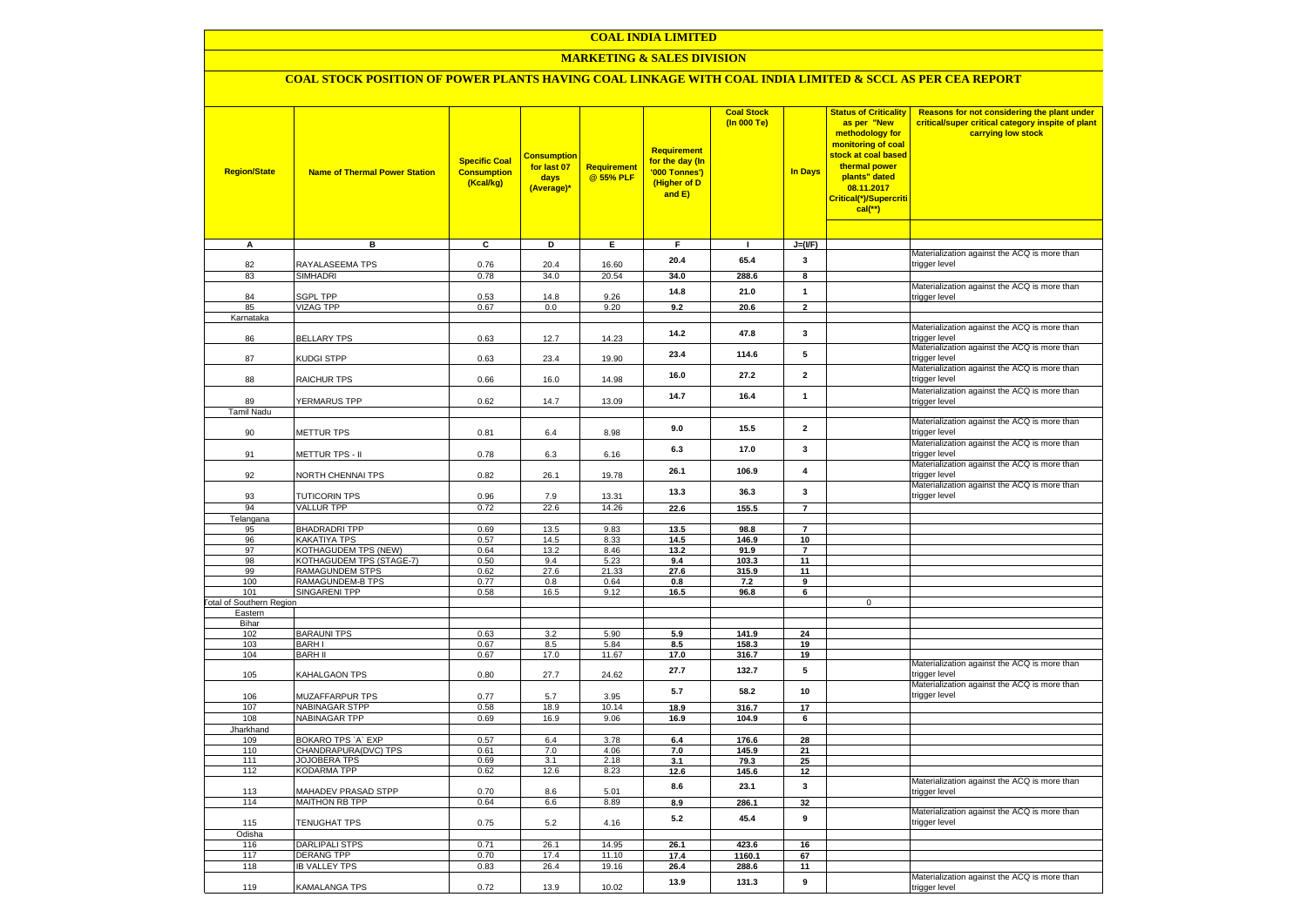# **COAL INDIA LIMITED**

# **MARKETING & SALES DIVISION**

# **COAL STOCK POSITION OF POWER PLANTS HAVING COAL LINKAGE WITH COAL INDIA LIMITED & SCCL AS PER CEA REPORT**

| <b>Region/State</b>             | <b>Name of Thermal Power Station</b>             | <b>Specific Coal</b><br><b>Consumption</b><br>(Kcal/kg) | <b>Consumption</b><br>for last 07<br>days<br>(Average)* | Requirement<br>@ 55% PLF | <b>Requirement</b><br>for the day (In<br>'000 Tonnes')<br>(Higher of D<br>and E) | <b>Coal Stock</b><br>(In 000 Te) | <b>In Days</b>       | <b>Status of Criticality</b><br>as per "New<br>methodology for<br>monitoring of coal<br>stock at coal based<br>thermal power<br>plants" dated<br>08.11.2017<br>Critical(*)/Supercriti<br>cal(**) | Reasons for not considering the plant under<br>critical/super critical category inspite of plant<br>carrying low stock |
|---------------------------------|--------------------------------------------------|---------------------------------------------------------|---------------------------------------------------------|--------------------------|----------------------------------------------------------------------------------|----------------------------------|----------------------|--------------------------------------------------------------------------------------------------------------------------------------------------------------------------------------------------|------------------------------------------------------------------------------------------------------------------------|
| $\overline{A}$                  | в                                                | c                                                       | Þ                                                       | E                        | F                                                                                | $\mathbf{L}$                     | $J=(I/F)$            |                                                                                                                                                                                                  |                                                                                                                        |
|                                 |                                                  |                                                         |                                                         |                          |                                                                                  |                                  |                      |                                                                                                                                                                                                  | Materialization against the ACQ is more than                                                                           |
| 82                              | RAYALASEEMA TPS                                  | 0.76                                                    | 20.4                                                    | 16.60                    | 20.4                                                                             | 65.4                             | 3                    |                                                                                                                                                                                                  | trigger level                                                                                                          |
| 83                              | <b>SIMHADRI</b>                                  | 0.78                                                    | 34.0                                                    | 20.54                    | 34.0                                                                             | 288.6                            | 8                    |                                                                                                                                                                                                  |                                                                                                                        |
| 84                              | <b>SGPL TPP</b>                                  | 0.53                                                    | 14.8                                                    | 9.26                     | 14.8                                                                             | 21.0                             | 1                    |                                                                                                                                                                                                  | Materialization against the ACQ is more than<br>trigger level                                                          |
| 85                              | <b>VIZAG TPP</b>                                 | 0.67                                                    | 0.0                                                     | 9.20                     | 9.2                                                                              | 20.6                             | $\mathbf{2}$         |                                                                                                                                                                                                  |                                                                                                                        |
| Karnataka                       |                                                  |                                                         |                                                         |                          |                                                                                  |                                  |                      |                                                                                                                                                                                                  |                                                                                                                        |
|                                 |                                                  |                                                         |                                                         |                          | 14.2                                                                             | 47.8                             | $\mathbf{3}$         |                                                                                                                                                                                                  | Materialization against the ACQ is more than                                                                           |
| 86                              | <b>BELLARY TPS</b>                               | 0.63                                                    | 12.7                                                    | 14.23                    |                                                                                  |                                  |                      |                                                                                                                                                                                                  | trigger level                                                                                                          |
| 87                              | <b>KUDGI STPP</b>                                | 0.63                                                    | 23.4                                                    | 19.90                    | 23.4                                                                             | 114.6                            | 5                    |                                                                                                                                                                                                  | Materialization against the ACQ is more than<br>trigger level                                                          |
| 88                              | RAICHUR TPS                                      | 0.66                                                    | 16.0                                                    | 14.98                    | 16.0                                                                             | 27.2                             | $\mathbf{2}$         |                                                                                                                                                                                                  | Materialization against the ACQ is more than<br>trigger level                                                          |
|                                 |                                                  |                                                         |                                                         |                          | 14.7                                                                             | 16.4                             | $\mathbf{1}$         |                                                                                                                                                                                                  | Materialization against the ACQ is more than                                                                           |
| 89                              | YERMARUS TPP                                     | 0.62                                                    | 14.7                                                    | 13.09                    |                                                                                  |                                  |                      |                                                                                                                                                                                                  | trigger level                                                                                                          |
| <b>Tamil Nadu</b>               |                                                  |                                                         |                                                         |                          |                                                                                  |                                  |                      |                                                                                                                                                                                                  |                                                                                                                        |
| 90                              | <b>METTUR TPS</b>                                | 0.81                                                    | 6.4                                                     | 8.98                     | 9.0                                                                              | 15.5                             | $\mathbf{2}$         |                                                                                                                                                                                                  | Materialization against the ACQ is more than<br>trigger level                                                          |
|                                 |                                                  |                                                         |                                                         |                          |                                                                                  |                                  |                      |                                                                                                                                                                                                  | Materialization against the ACQ is more than                                                                           |
| 91                              | METTUR TPS - II                                  | 0.78                                                    | 6.3                                                     | 6.16                     | 6.3                                                                              | 17.0                             | 3                    |                                                                                                                                                                                                  | trigger level                                                                                                          |
|                                 |                                                  |                                                         |                                                         |                          | 26.1                                                                             | 106.9                            | $\overline{4}$       |                                                                                                                                                                                                  | Materialization against the ACQ is more than                                                                           |
| 92                              | NORTH CHENNAI TPS                                | 0.82                                                    | 26.1                                                    | 19.78                    |                                                                                  |                                  |                      |                                                                                                                                                                                                  | trigger level<br>Materialization against the ACQ is more than                                                          |
| 93                              | <b>TUTICORIN TPS</b>                             | 0.96                                                    | 7.9                                                     | 13.31                    | 13.3                                                                             | 36.3                             | 3                    |                                                                                                                                                                                                  | trigger level                                                                                                          |
| 94                              | <b>VALLUR TPP</b>                                | 0.72                                                    | 22.6                                                    | 14.26                    | 22.6                                                                             | 155.5                            | $\overline{7}$       |                                                                                                                                                                                                  |                                                                                                                        |
| Telangana                       |                                                  |                                                         |                                                         |                          |                                                                                  |                                  |                      |                                                                                                                                                                                                  |                                                                                                                        |
| 95                              | <b>BHADRADRI TPP</b>                             | 0.69                                                    | 13.5                                                    | 9.83                     | 13.5                                                                             | 98.8                             | $\overline{7}$       |                                                                                                                                                                                                  |                                                                                                                        |
| 96<br>97                        | KAKATIYA TPS                                     | 0.57<br>0.64                                            | 14.5                                                    | 8.33                     | 14.5                                                                             | 146.9<br>91.9                    | 10<br>$\overline{7}$ |                                                                                                                                                                                                  |                                                                                                                        |
| 98                              | KOTHAGUDEM TPS (NEW)<br>KOTHAGUDEM TPS (STAGE-7) | 0.50                                                    | 13.2<br>9.4                                             | 8.46<br>5.23             | 13.2<br>9.4                                                                      | 103.3                            | 11                   |                                                                                                                                                                                                  |                                                                                                                        |
| 99                              | <b>RAMAGUNDEM STPS</b>                           | 0.62                                                    | 27.6                                                    | 21.33                    | 27.6                                                                             | 315.9                            | 11                   |                                                                                                                                                                                                  |                                                                                                                        |
| 100                             | RAMAGUNDEM-B TPS                                 | 0.77                                                    | 0.8                                                     | 0.64                     | 0.8                                                                              | 7.2                              | 9                    |                                                                                                                                                                                                  |                                                                                                                        |
| 101                             | SINGARENI TPP                                    | 0.58                                                    | 16.5                                                    | 9.12                     | 16.5                                                                             | 96.8                             | 6                    |                                                                                                                                                                                                  |                                                                                                                        |
| <b>Total of Southern Region</b> |                                                  |                                                         |                                                         |                          |                                                                                  |                                  |                      | $\mathbf 0$                                                                                                                                                                                      |                                                                                                                        |
| Eastern                         |                                                  |                                                         |                                                         |                          |                                                                                  |                                  |                      |                                                                                                                                                                                                  |                                                                                                                        |
| Bihar<br>102                    | <b>BARAUNI TPS</b>                               | 0.63                                                    | 3.2                                                     | 5.90                     | 5.9                                                                              | 141.9                            | 24                   |                                                                                                                                                                                                  |                                                                                                                        |
| 103                             | <b>BARHI</b>                                     | 0.67                                                    | 8.5                                                     | 5.84                     | 8.5                                                                              | 158.3                            | 19                   |                                                                                                                                                                                                  |                                                                                                                        |
| 104                             | <b>BARH II</b>                                   | 0.67                                                    | 17.0                                                    | 11.67                    | 17.0                                                                             | 316.7                            | 19                   |                                                                                                                                                                                                  |                                                                                                                        |
| 105                             | KAHALGAON TPS                                    | 0.80                                                    | 27.7                                                    | 24.62                    | 27.7                                                                             | 132.7                            | 5                    |                                                                                                                                                                                                  | Materialization against the ACQ is more than<br>trigger level                                                          |
| 106                             | MUZAFFARPUR TPS                                  | 0.77                                                    | 5.7                                                     | 3.95                     | 5.7                                                                              | 58.2                             | 10                   |                                                                                                                                                                                                  | Materialization against the ACQ is more than<br>trigger level                                                          |
| 107                             | NABINAGAR STPP                                   | 0.58                                                    | 18.9                                                    | 10.14                    | 18.9                                                                             | 316.7                            | 17                   |                                                                                                                                                                                                  |                                                                                                                        |
| 108                             | NABINAGAR TPP                                    | 0.69                                                    | 16.9                                                    | 9.06                     | 16.9                                                                             | 104.9                            | 6                    |                                                                                                                                                                                                  |                                                                                                                        |
| Jharkhand                       |                                                  |                                                         |                                                         |                          |                                                                                  |                                  |                      |                                                                                                                                                                                                  |                                                                                                                        |
| 109                             | BOKARO TPS `A` EXP                               | 0.57                                                    | 6.4                                                     | 3.78                     | 6.4                                                                              | 176.6                            | 28                   |                                                                                                                                                                                                  |                                                                                                                        |
| 110<br>111                      | CHANDRAPURA(DVC) TPS<br><b>JOJOBERA TPS</b>      | 0.61<br>0.69                                            | 7.0<br>3.1                                              | 4.06<br>2.18             | 7.0<br>3.1                                                                       | 145.9<br>79.3                    | 21<br>25             |                                                                                                                                                                                                  |                                                                                                                        |
| 112                             | <b>KODARMA TPP</b>                               | 0.62                                                    | 12.6                                                    | 8.23                     | 12.6                                                                             | 145.6                            | 12                   |                                                                                                                                                                                                  |                                                                                                                        |
|                                 |                                                  |                                                         |                                                         |                          |                                                                                  |                                  |                      |                                                                                                                                                                                                  | Materialization against the ACQ is more than                                                                           |
| 113                             | MAHADEV PRASAD STPP                              | 0.70                                                    | 8.6                                                     | 5.01                     | 8.6                                                                              | 23.1                             | 3                    |                                                                                                                                                                                                  | rigger level                                                                                                           |
| 114                             | <b>MAITHON RB TPP</b>                            | 0.64                                                    | 6.6                                                     | 8.89                     | 8.9                                                                              | 286.1                            | 32                   |                                                                                                                                                                                                  |                                                                                                                        |
| 115                             | TENUGHAT TPS                                     | 0.75                                                    | $5.2\,$                                                 | 4.16                     | 5.2                                                                              | 45.4                             | 9                    |                                                                                                                                                                                                  | Materialization against the ACQ is more than<br>trigger level                                                          |
| Odisha                          |                                                  |                                                         |                                                         |                          |                                                                                  |                                  |                      |                                                                                                                                                                                                  |                                                                                                                        |
| 116                             | <b>DARLIPALI STPS</b>                            | 0.71                                                    | 26.1                                                    | 14.95                    | 26.1                                                                             | 423.6                            | 16                   |                                                                                                                                                                                                  |                                                                                                                        |
| 117<br>118                      | <b>DERANG TPP</b><br><b>IB VALLEY TPS</b>        | 0.70<br>0.83                                            | 17.4<br>26.4                                            | 11.10<br>19.16           | 17.4                                                                             | 1160.1                           | 67<br>11             |                                                                                                                                                                                                  |                                                                                                                        |
|                                 |                                                  |                                                         |                                                         |                          | 26.4                                                                             | 288.6                            |                      |                                                                                                                                                                                                  | Materialization against the ACQ is more than                                                                           |
| 119                             | KAMALANGA TPS                                    | 0.72                                                    | 13.9                                                    | 10.02                    | 13.9                                                                             | 131.3                            | 9                    |                                                                                                                                                                                                  | trigger level                                                                                                          |